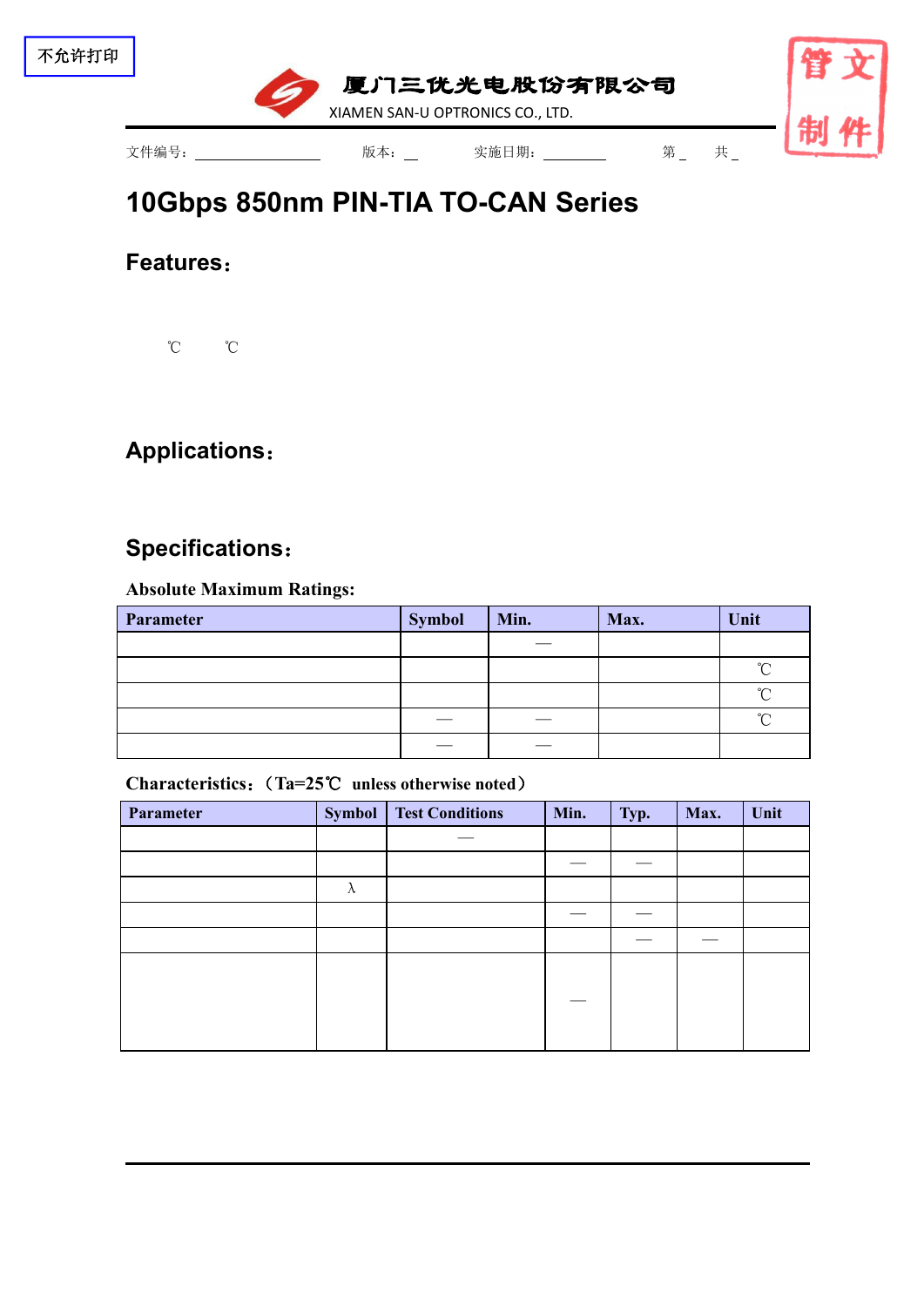

XIAMEN SAN-U OPTRONICS CO., LTD.

文件编号: SU-01-19-A-07-A85F 版本: 01 实施日期: 2018.11.02 第1 共 3



# **10Gbps 850nm PIN-TIA TO-CAN Series**

### **Features**:

Data rates up to 10 Gbps. 850nm multimode. -40℃ to 85℃ Operation. Received signal strength indicator(RSSI). High reliability.

# **Applications**:

High speed Data Communication. 10Gigabit Ethernet.

### **Specifications**:

### **Absolute Maximum Ratings:**

| <b>Parameter</b>               | <b>Symbol</b> | Min.  | Max.   | Unit   |
|--------------------------------|---------------|-------|--------|--------|
| <b>Optical Input Power</b>     | $P_{in}$      |       |        | dBm    |
| <b>Operating Temperature</b>   | Top           | -40   | $+85$  | $\sim$ |
| <b>Storage Temperature</b>     | <b>Tstg</b>   | $-40$ | $+100$ | ∽°     |
| <b>Lead Solder Temperature</b> |               |       | 260    | $\sim$ |
| Lead Solder Time               |               |       | 10     |        |

### **Characteristics**:(**Ta=25**℃ **unless otherwise noted**)

| <b>Parameter</b>           | <b>Symbol</b> | <b>Test Conditions</b> | Min.     | Typ. | Max.  | Unit |
|----------------------------|---------------|------------------------|----------|------|-------|------|
| <b>Supply Voltage</b>      | Vcc           |                        | 3.0      | 3.3  | 3.6   | V    |
| <b>Supply Current</b>      | Icc           | $Vcc=3.3V$             |          |      | 40    | mA   |
| <b>Wavelength Range</b>    | $\Lambda$     | $Vcc=3.3V$             | 830      | 850  | 870   | nm   |
| <b>RSSI Offset Current</b> | $I_d$         | $Vcc=3.3V$             |          |      | 150   | nA   |
| Overload                   | <b>OL</b>     | $Vcc=3.3V$             | $\Omega$ |      |       | dBm  |
| Sensitivity                | Sen           | 10.3125Gbps,           |          | -14  | $-13$ | dBm  |
|                            |               | PRBS31,                |          |      |       |      |
|                            |               | 850nm, ER=4.5dB,       |          |      |       |      |
|                            |               | $BER = 1*E-12$         |          |      |       |      |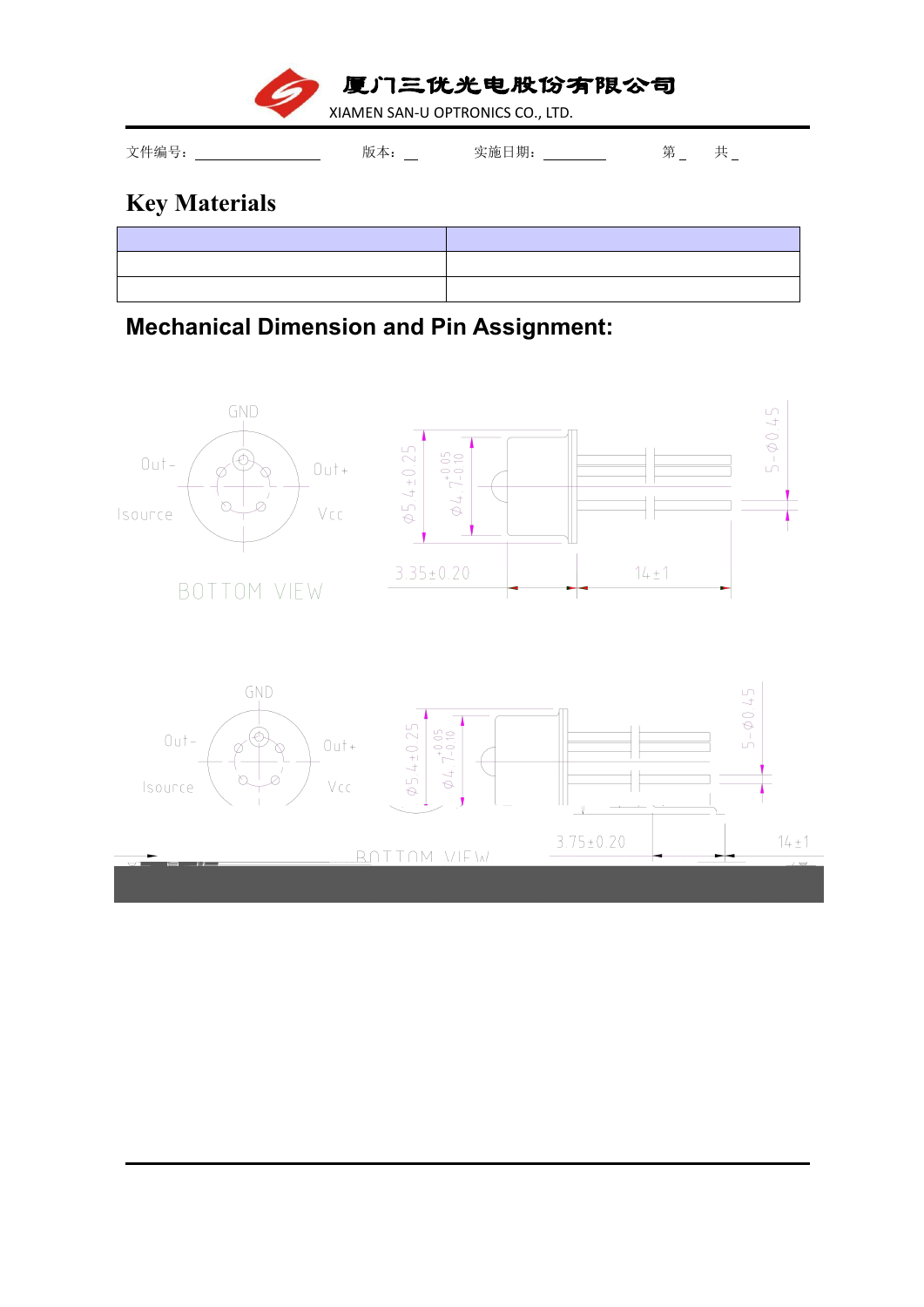

文件编号: SU-01-19-A-07-A85F 版本: 01 实施日期: 2018.11.02 第 2 共 3

# **Key Materials**

| Materials  | <b>Part Number</b>  |
|------------|---------------------|
| PIN PD     | WSPD10-03/TK0910S8C |
| <b>TIA</b> | NT28L52             |

**Mechanical Dimension and Pin Assignment:**